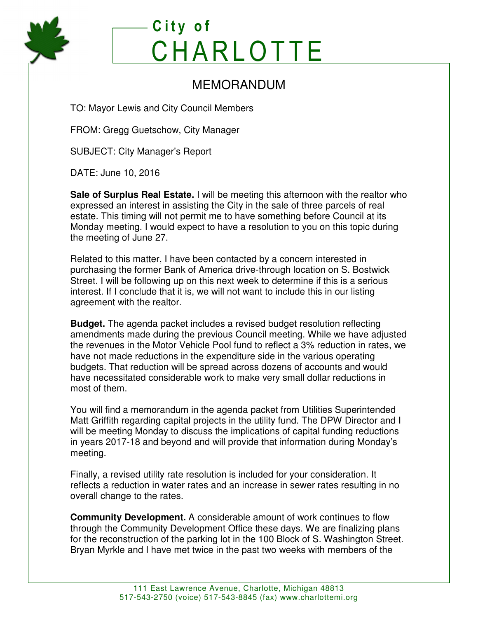

## **C i t y o f CHARLOTTE**

## MEMORANDUM

TO: Mayor Lewis and City Council Members

FROM: Gregg Guetschow, City Manager

SUBJECT: City Manager's Report

DATE: June 10, 2016

**Sale of Surplus Real Estate.** I will be meeting this afternoon with the realtor who expressed an interest in assisting the City in the sale of three parcels of real estate. This timing will not permit me to have something before Council at its Monday meeting. I would expect to have a resolution to you on this topic during the meeting of June 27.

Related to this matter, I have been contacted by a concern interested in purchasing the former Bank of America drive-through location on S. Bostwick Street. I will be following up on this next week to determine if this is a serious interest. If I conclude that it is, we will not want to include this in our listing agreement with the realtor.

**Budget.** The agenda packet includes a revised budget resolution reflecting amendments made during the previous Council meeting. While we have adjusted the revenues in the Motor Vehicle Pool fund to reflect a 3% reduction in rates, we have not made reductions in the expenditure side in the various operating budgets. That reduction will be spread across dozens of accounts and would have necessitated considerable work to make very small dollar reductions in most of them.

You will find a memorandum in the agenda packet from Utilities Superintended Matt Griffith regarding capital projects in the utility fund. The DPW Director and I will be meeting Monday to discuss the implications of capital funding reductions in years 2017-18 and beyond and will provide that information during Monday's meeting.

Finally, a revised utility rate resolution is included for your consideration. It reflects a reduction in water rates and an increase in sewer rates resulting in no overall change to the rates.

**Community Development.** A considerable amount of work continues to flow through the Community Development Office these days. We are finalizing plans for the reconstruction of the parking lot in the 100 Block of S. Washington Street. Bryan Myrkle and I have met twice in the past two weeks with members of the